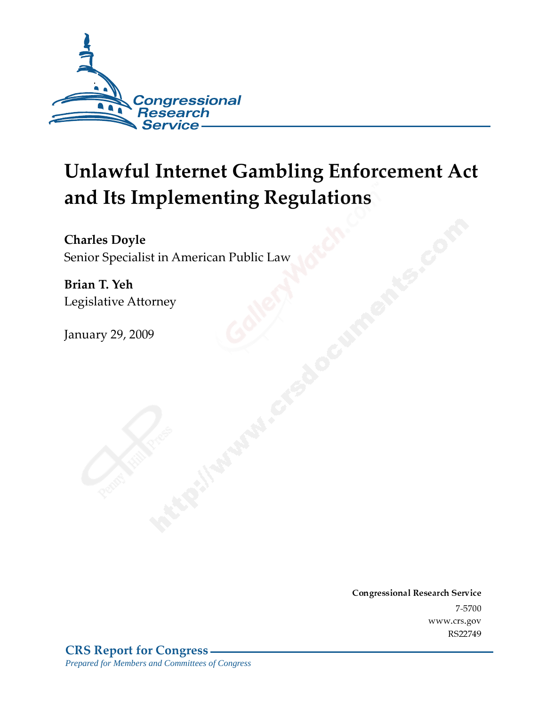

# **Unlawful Internet Gambling Enforcement Act** and Its Implementing Regulations

**Charles Doyle** Senior Specialist in American Public Law

Brian T. Yeh Legislative Attorney

**January 29, 2009** 

Conglessional Research Service  $7 - 2700$ www.cis.gov RS22749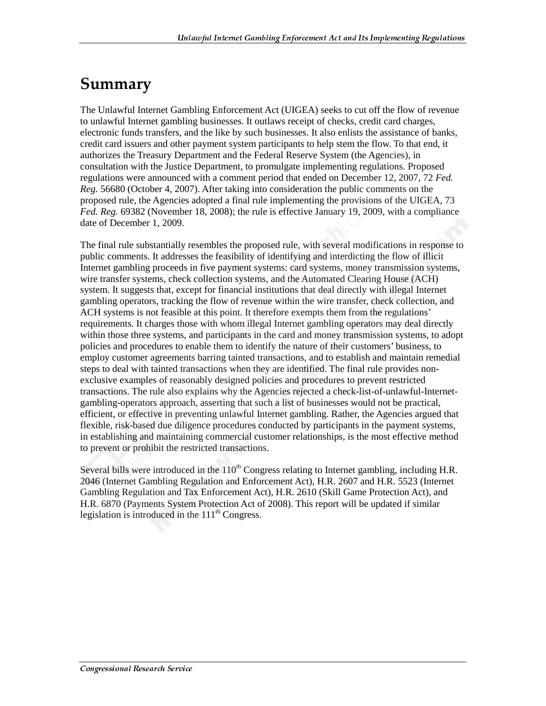### Summary

The Unlawful Internet Gambling Enforcement Act (UIGEA) seeks to cut off the flow of revenue to unlawful Internet gambling businesses. It outlaws receipt of checks, credit card charges, electronic funds transfers, and the like by such businesses. It also enlists the assistance of banks, credit card issuers and other payment system participants to help stem the flow. To that end, it authorizes the Treasury Department and the Federal Reserve System (the Agencies), in consultation with the Justice Department, to promulgate implementing regulations. Proposed regulations were announced with a comment period that ended on December 12, 2007, 72 *Fed. Reg.* 56680 (October 4, 2007). After taking into consideration the public comments on the proposed rule, the Agencies adopted a final rule implementing the provisions of the UIGEA, 73 *Fed. Reg.* 69382 (November 18, 2008); the rule is effective January 19, 2009, with a compliance date of December 1, 2009.

The final rule substantially resembles the proposed rule, with several modifications in response to public comments. It addresses the feasibility of identifying and interdicting the flow of illicit Internet gambling proceeds in five payment systems: card systems, money transmission systems, wire transfer systems, check collection systems, and the Automated Clearing House (ACH) system. It suggests that, except for financial institutions that deal directly with illegal Internet gambling operators, tracking the flow of revenue within the wire transfer, check collection, and ACH systems is not feasible at this point. It therefore exempts them from the regulations' requirements. It charges those with whom illegal Internet gambling operators may deal directly within those three systems, and participants in the card and money transmission systems, to adopt policies and procedures to enable them to identify the nature of their customers' business, to employ customer agreements barring tainted transactions, and to establish and maintain remedial steps to deal with tainted transactions when they are identified. The final rule provides nonexclusive examples of reasonably designed policies and procedures to prevent restricted transactions. The rule also explains why the Agencies rejected a check-list-of-unlawful-Internetgambling-operators approach, asserting that such a list of businesses would not be practical, efficient, or effective in preventing unlawful Internet gambling. Rather, the Agencies argued that flexible, risk-based due diligence procedures conducted by participants in the payment systems, in establishing and maintaining commercial customer relationships, is the most effective method to prevent or prohibit the restricted transactions.

Several bills were introduced in the  $110<sup>th</sup>$  Congress relating to Internet gambling, including H.R. 2046 (Internet Gambling Regulation and Enforcement Act), H.R. 2607 and H.R. 5523 (Internet Gambling Regulation and Tax Enforcement Act), H.R. 2610 (Skill Game Protection Act), and H.R. 6870 (Payments System Protection Act of 2008). This report will be updated if similar legislation is introduced in the  $111<sup>th</sup>$  Congress.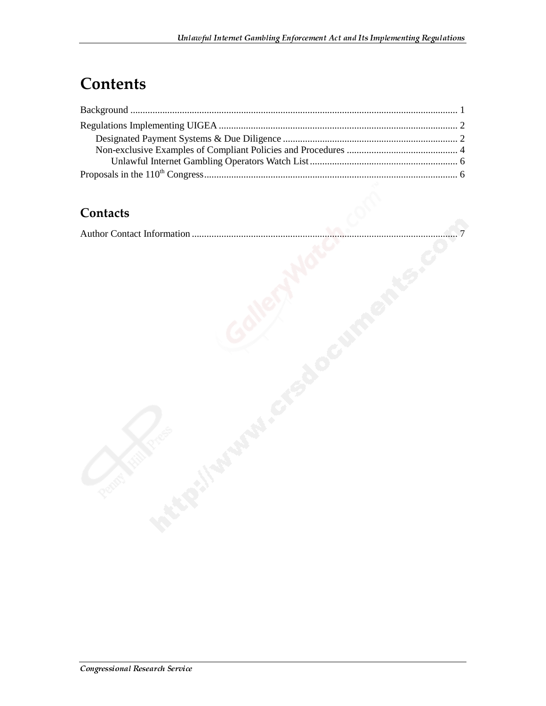### **Contents**

#### Contacts

|--|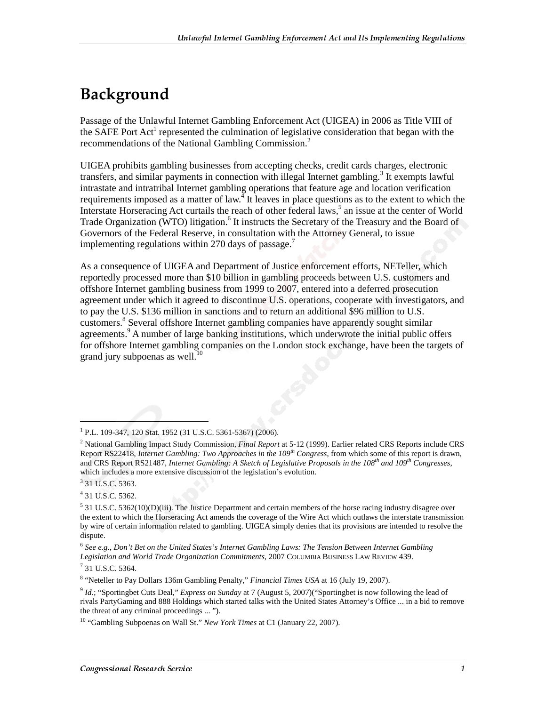### Background

Passage of the Unlawful Internet Gambling Enforcement Act (UIGEA) in 2006 as Title VIII of the SAFE Port Act<sup>1</sup> represented the culmination of legislative consideration that began with the recommendations of the National Gambling Commission.2

UIGEA prohibits gambling businesses from accepting checks, credit cards charges, electronic transfers, and similar payments in connection with illegal Internet gambling.<sup>3</sup> It exempts lawful intrastate and intratribal Internet gambling operations that feature age and location verification requirements imposed as a matter of law.<sup>4</sup> It leaves in place questions as to the extent to which the Interstate Horseracing Act curtails the reach of other federal laws,<sup>5</sup> an issue at the center of World Trade Organization (WTO) litigation.<sup>6</sup> It instructs the Secretary of the Treasury and the Board of Governors of the Federal Reserve, in consultation with the Attorney General, to issue implementing regulations within 270 days of passage.<sup>7</sup>

As a consequence of UIGEA and Department of Justice enforcement efforts, NETeller, which reportedly processed more than \$10 billion in gambling proceeds between U.S. customers and offshore Internet gambling business from 1999 to 2007, entered into a deferred prosecution agreement under which it agreed to discontinue U.S. operations, cooperate with investigators, and to pay the U.S. \$136 million in sanctions and to return an additional \$96 million to U.S. customers.<sup>8</sup> Several offshore Internet gambling companies have apparently sought similar agreements.<sup>9</sup> A number of large banking institutions, which underwrote the initial public offers for offshore Internet gambling companies on the London stock exchange, have been the targets of grand jury subpoenas as well. $^{10}$ 

<sup>3</sup> 31 U.S.C. 5363.

 $\overline{a}$ 

4 31 U.S.C. 5362.

<sup>1</sup> P.L. 109-347, 120 Stat. 1952 (31 U.S.C. 5361-5367) (2006).

<sup>2</sup> National Gambling Impact Study Commission, *Final Report* at 5-12 (1999). Earlier related CRS Reports include CRS Report RS22418, *Internet Gambling: Two Approaches in the 109th Congress*, from which some of this report is drawn, and CRS Report RS21487, *Internet Gambling: A Sketch of Legislative Proposals in the 108th and 109th Congresses*, which includes a more extensive discussion of the legislation's evolution.

<sup>&</sup>lt;sup>5</sup> 31 U.S.C. 5362(10)(D)(iii). The Justice Department and certain members of the horse racing industry disagree over the extent to which the Horseracing Act amends the coverage of the Wire Act which outlaws the interstate transmission by wire of certain information related to gambling. UIGEA simply denies that its provisions are intended to resolve the dispute.

<sup>6</sup> *See e.g.*, *Don't Bet on the United States's Internet Gambling Laws: The Tension Between Internet Gambling Legislation and World Trade Organization Commitments*, 2007 COLUMBIA BUSINESS LAW REVIEW 439.

<sup>7</sup> 31 U.S.C. 5364.

<sup>8</sup> "Neteller to Pay Dollars 136m Gambling Penalty," *Financial Times USA* at 16 (July 19, 2007).

<sup>9</sup> *Id*.; "Sportingbet Cuts Deal," *Express on Sunday* at 7 (August 5, 2007)("Sportingbet is now following the lead of rivals PartyGaming and 888 Holdings which started talks with the United States Attorney's Office ... in a bid to remove the threat of any criminal proceedings ... ").

<sup>10 &</sup>quot;Gambling Subpoenas on Wall St." *New York Times* at C1 (January 22, 2007).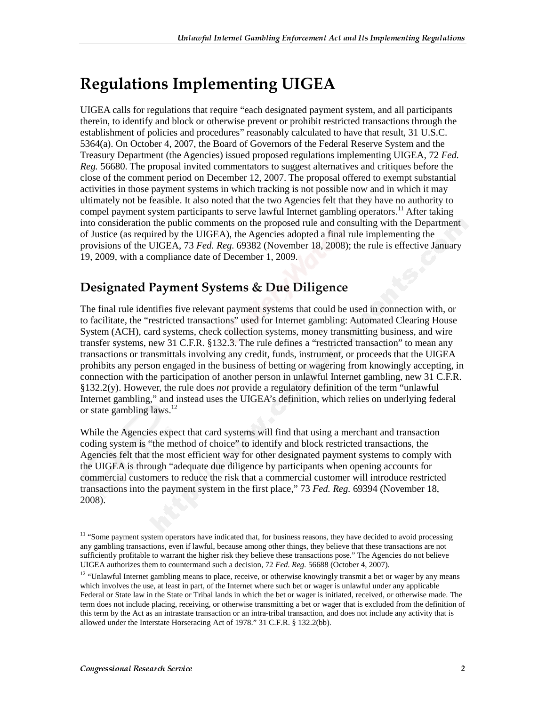## **Regulations Implementing UIGEA**

UIGEA calls for regulations that require "each designated payment system, and all participants therein, to identify and block or otherwise prevent or prohibit restricted transactions through the establishment of policies and procedures" reasonably calculated to have that result, 31 U.S.C. 5364(a). On October 4, 2007, the Board of Governors of the Federal Reserve System and the Treasury Department (the Agencies) issued proposed regulations implementing UIGEA, 72 *Fed. Reg.* 56680. The proposal invited commentators to suggest alternatives and critiques before the close of the comment period on December 12, 2007. The proposal offered to exempt substantial activities in those payment systems in which tracking is not possible now and in which it may ultimately not be feasible. It also noted that the two Agencies felt that they have no authority to compel payment system participants to serve lawful Internet gambling operators.<sup>11</sup> After taking into consideration the public comments on the proposed rule and consulting with the Department of Justice (as required by the UIGEA), the Agencies adopted a final rule implementing the provisions of the UIGEA, 73 *Fed. Reg.* 69382 (November 18, 2008); the rule is effective January 19, 2009, with a compliance date of December 1, 2009.

#### **Designated Payment Systems & Due Diligence**

The final rule identifies five relevant payment systems that could be used in connection with, or to facilitate, the "restricted transactions" used for Internet gambling: Automated Clearing House System (ACH), card systems, check collection systems, money transmitting business, and wire transfer systems, new 31 C.F.R. §132.3. The rule defines a "restricted transaction" to mean any transactions or transmittals involving any credit, funds, instrument, or proceeds that the UIGEA prohibits any person engaged in the business of betting or wagering from knowingly accepting, in connection with the participation of another person in unlawful Internet gambling, new 31 C.F.R. §132.2(y). However, the rule does *not* provide a regulatory definition of the term "unlawful Internet gambling," and instead uses the UIGEA's definition, which relies on underlying federal or state gambling laws. $^{12}$ 

While the Agencies expect that card systems will find that using a merchant and transaction coding system is "the method of choice" to identify and block restricted transactions, the Agencies felt that the most efficient way for other designated payment systems to comply with the UIGEA is through "adequate due diligence by participants when opening accounts for commercial customers to reduce the risk that a commercial customer will introduce restricted transactions into the payment system in the first place," 73 *Fed. Reg.* 69394 (November 18, 2008).

j

<sup>&</sup>lt;sup>11</sup> "Some payment system operators have indicated that, for business reasons, they have decided to avoid processing any gambling transactions, even if lawful, because among other things, they believe that these transactions are not sufficiently profitable to warrant the higher risk they believe these transactions pose." The Agencies do not believe UIGEA authorizes them to countermand such a decision, 72 *Fed. Reg.* 56688 (October 4, 2007).

<sup>&</sup>lt;sup>12</sup> "Unlawful Internet gambling means to place, receive, or otherwise knowingly transmit a bet or wager by any means which involves the use, at least in part, of the Internet where such bet or wager is unlawful under any applicable Federal or State law in the State or Tribal lands in which the bet or wager is initiated, received, or otherwise made. The term does not include placing, receiving, or otherwise transmitting a bet or wager that is excluded from the definition of this term by the Act as an intrastate transaction or an intra-tribal transaction, and does not include any activity that is allowed under the Interstate Horseracing Act of 1978." 31 C.F.R. § 132.2(bb).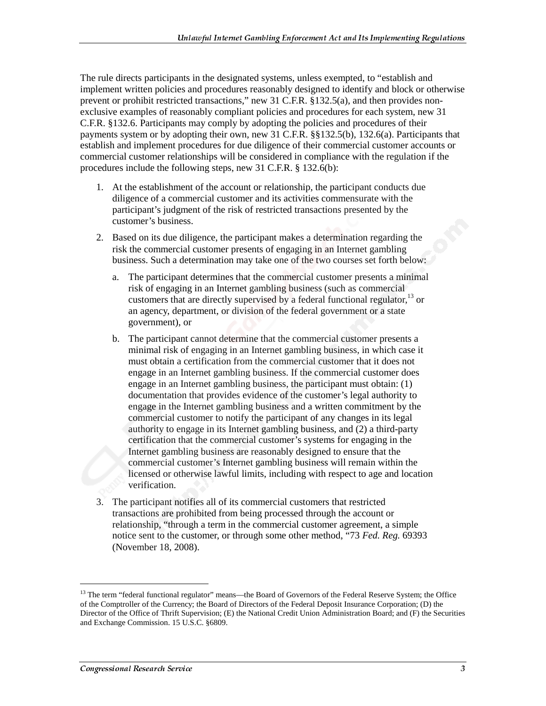The rule directs participants in the designated systems, unless exempted, to "establish and implement written policies and procedures reasonably designed to identify and block or otherwise prevent or prohibit restricted transactions," new 31 C.F.R. §132.5(a), and then provides nonexclusive examples of reasonably compliant policies and procedures for each system, new 31 C.F.R. §132.6. Participants may comply by adopting the policies and procedures of their payments system or by adopting their own, new 31 C.F.R. §§132.5(b), 132.6(a). Participants that establish and implement procedures for due diligence of their commercial customer accounts or commercial customer relationships will be considered in compliance with the regulation if the procedures include the following steps, new 31 C.F.R. § 132.6(b):

- 1. At the establishment of the account or relationship, the participant conducts due diligence of a commercial customer and its activities commensurate with the participant's judgment of the risk of restricted transactions presented by the customer's business.
- 2. Based on its due diligence, the participant makes a determination regarding the risk the commercial customer presents of engaging in an Internet gambling business. Such a determination may take one of the two courses set forth below:
	- a. The participant determines that the commercial customer presents a minimal risk of engaging in an Internet gambling business (such as commercial customers that are directly supervised by a federal functional regulator, $^{13}$  or an agency, department, or division of the federal government or a state government), or
	- b. The participant cannot determine that the commercial customer presents a minimal risk of engaging in an Internet gambling business, in which case it must obtain a certification from the commercial customer that it does not engage in an Internet gambling business. If the commercial customer does engage in an Internet gambling business, the participant must obtain: (1) documentation that provides evidence of the customer's legal authority to engage in the Internet gambling business and a written commitment by the commercial customer to notify the participant of any changes in its legal authority to engage in its Internet gambling business, and (2) a third-party certification that the commercial customer's systems for engaging in the Internet gambling business are reasonably designed to ensure that the commercial customer's Internet gambling business will remain within the licensed or otherwise lawful limits, including with respect to age and location verification.
- 3. The participant notifies all of its commercial customers that restricted transactions are prohibited from being processed through the account or relationship, "through a term in the commercial customer agreement, a simple notice sent to the customer, or through some other method, "73 *Fed. Reg.* 69393 (November 18, 2008).

j

<sup>&</sup>lt;sup>13</sup> The term "federal functional regulator" means—the Board of Governors of the Federal Reserve System; the Office of the Comptroller of the Currency; the Board of Directors of the Federal Deposit Insurance Corporation; (D) the Director of the Office of Thrift Supervision; (E) the National Credit Union Administration Board; and (F) the Securities and Exchange Commission. 15 U.S.C. §6809.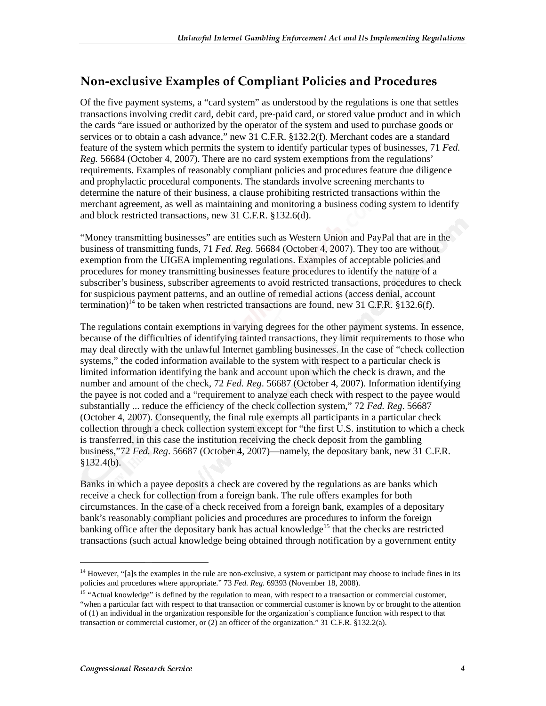### Non-exclusive Examples of Compliant Policies and Procedures

Of the five payment systems, a "card system" as understood by the regulations is one that settles transactions involving credit card, debit card, pre-paid card, or stored value product and in which the cards "are issued or authorized by the operator of the system and used to purchase goods or services or to obtain a cash advance," new 31 C.F.R. §132.2(f). Merchant codes are a standard feature of the system which permits the system to identify particular types of businesses, 71 *Fed. Reg.* 56684 (October 4, 2007). There are no card system exemptions from the regulations' requirements. Examples of reasonably compliant policies and procedures feature due diligence and prophylactic procedural components. The standards involve screening merchants to determine the nature of their business, a clause prohibiting restricted transactions within the merchant agreement, as well as maintaining and monitoring a business coding system to identify and block restricted transactions, new 31 C.F.R. §132.6(d).

"Money transmitting businesses" are entities such as Western Union and PayPal that are in the business of transmitting funds, 71 *Fed. Reg.* 56684 (October 4, 2007). They too are without exemption from the UIGEA implementing regulations. Examples of acceptable policies and procedures for money transmitting businesses feature procedures to identify the nature of a subscriber's business, subscriber agreements to avoid restricted transactions, procedures to check for suspicious payment patterns, and an outline of remedial actions (access denial, account termination)<sup>14</sup> to be taken when restricted transactions are found, new 31 C.F.R. §132.6(f).

The regulations contain exemptions in varying degrees for the other payment systems. In essence, because of the difficulties of identifying tainted transactions, they limit requirements to those who may deal directly with the unlawful Internet gambling businesses. In the case of "check collection systems," the coded information available to the system with respect to a particular check is limited information identifying the bank and account upon which the check is drawn, and the number and amount of the check, 72 *Fed. Reg*. 56687 (October 4, 2007). Information identifying the payee is not coded and a "requirement to analyze each check with respect to the payee would substantially ... reduce the efficiency of the check collection system," 72 *Fed. Reg*. 56687 (October 4, 2007). Consequently, the final rule exempts all participants in a particular check collection through a check collection system except for "the first U.S. institution to which a check is transferred, in this case the institution receiving the check deposit from the gambling business,"72 *Fed. Reg*. 56687 (October 4, 2007)—namely, the depositary bank, new 31 C.F.R.  $$132.4(b).$ 

Banks in which a payee deposits a check are covered by the regulations as are banks which receive a check for collection from a foreign bank. The rule offers examples for both circumstances. In the case of a check received from a foreign bank, examples of a depositary bank's reasonably compliant policies and procedures are procedures to inform the foreign banking office after the depositary bank has actual knowledge<sup>15</sup> that the checks are restricted transactions (such actual knowledge being obtained through notification by a government entity

 $\overline{a}$ 

<sup>&</sup>lt;sup>14</sup> However, "[a]s the examples in the rule are non-exclusive, a system or participant may choose to include fines in its policies and procedures where appropriate." 73 *Fed. Reg.* 69393 (November 18, 2008).

<sup>&</sup>lt;sup>15</sup> "Actual knowledge" is defined by the regulation to mean, with respect to a transaction or commercial customer, "when a particular fact with respect to that transaction or commercial customer is known by or brought to the attention of (1) an individual in the organization responsible for the organization's compliance function with respect to that transaction or commercial customer, or (2) an officer of the organization." 31 C.F.R. §132.2(a).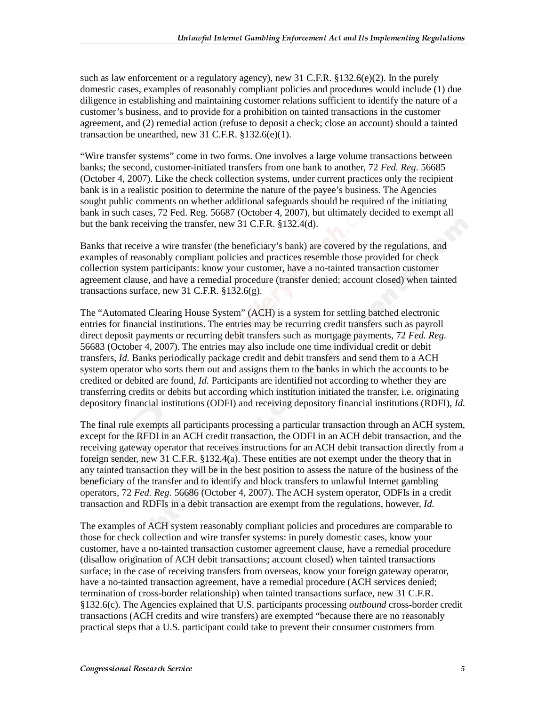such as law enforcement or a regulatory agency), new 31 C.F.R.  $\S$ 132.6(e)(2). In the purely domestic cases, examples of reasonably compliant policies and procedures would include (1) due diligence in establishing and maintaining customer relations sufficient to identify the nature of a customer's business, and to provide for a prohibition on tainted transactions in the customer agreement, and (2) remedial action (refuse to deposit a check; close an account) should a tainted transaction be unearthed, new 31 C.F.R.  $$132.6(e)(1)$ .

"Wire transfer systems" come in two forms. One involves a large volume transactions between banks; the second, customer-initiated transfers from one bank to another, 72 *Fed. Reg*. 56685 (October 4, 2007). Like the check collection systems, under current practices only the recipient bank is in a realistic position to determine the nature of the payee's business. The Agencies sought public comments on whether additional safeguards should be required of the initiating bank in such cases, 72 Fed. Reg. 56687 (October 4, 2007), but ultimately decided to exempt all but the bank receiving the transfer, new 31 C.F.R. §132.4(d).

Banks that receive a wire transfer (the beneficiary's bank) are covered by the regulations, and examples of reasonably compliant policies and practices resemble those provided for check collection system participants: know your customer, have a no-tainted transaction customer agreement clause, and have a remedial procedure (transfer denied; account closed) when tainted transactions surface, new 31 C.F.R. §132.6(g).

The "Automated Clearing House System" (ACH) is a system for settling batched electronic entries for financial institutions. The entries may be recurring credit transfers such as payroll direct deposit payments or recurring debit transfers such as mortgage payments, 72 *Fed. Reg*. 56683 (October 4, 2007). The entries may also include one time individual credit or debit transfers, *Id.* Banks periodically package credit and debit transfers and send them to a ACH system operator who sorts them out and assigns them to the banks in which the accounts to be credited or debited are found, *Id.* Participants are identified not according to whether they are transferring credits or debits but according which institution initiated the transfer, i.e. originating depository financial institutions (ODFI) and receiving depository financial institutions (RDFI), *Id.* 

The final rule exempts all participants processing a particular transaction through an ACH system, except for the RFDI in an ACH credit transaction, the ODFI in an ACH debit transaction, and the receiving gateway operator that receives instructions for an ACH debit transaction directly from a foreign sender, new 31 C.F.R. §132.4(a). These entities are not exempt under the theory that in any tainted transaction they will be in the best position to assess the nature of the business of the beneficiary of the transfer and to identify and block transfers to unlawful Internet gambling operators, 72 *Fed. Reg*. 56686 (October 4, 2007). The ACH system operator, ODFIs in a credit transaction and RDFIs in a debit transaction are exempt from the regulations, however, *Id.*

The examples of ACH system reasonably compliant policies and procedures are comparable to those for check collection and wire transfer systems: in purely domestic cases, know your customer, have a no-tainted transaction customer agreement clause, have a remedial procedure (disallow origination of ACH debit transactions; account closed) when tainted transactions surface; in the case of receiving transfers from overseas, know your foreign gateway operator, have a no-tainted transaction agreement, have a remedial procedure (ACH services denied; termination of cross-border relationship) when tainted transactions surface, new 31 C.F.R. §132.6(c). The Agencies explained that U.S. participants processing *outbound* cross-border credit transactions (ACH credits and wire transfers) are exempted "because there are no reasonably practical steps that a U.S. participant could take to prevent their consumer customers from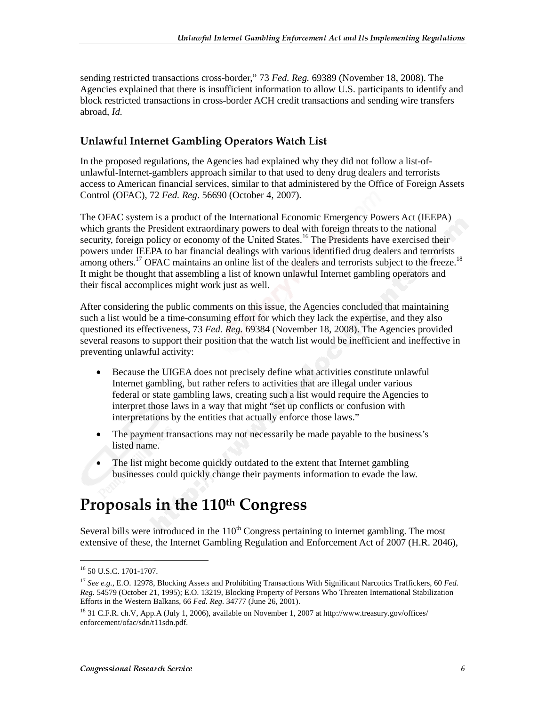sending restricted transactions cross-border," 73 *Fed. Reg.* 69389 (November 18, 2008). The Agencies explained that there is insufficient information to allow U.S. participants to identify and block restricted transactions in cross-border ACH credit transactions and sending wire transfers abroad, *Id.* 

#### Unlawful Internet Gambling Operators Watch List

In the proposed regulations, the Agencies had explained why they did not follow a list-ofunlawful-Internet-gamblers approach similar to that used to deny drug dealers and terrorists access to American financial services, similar to that administered by the Office of Foreign Assets Control (OFAC), 72 *Fed. Reg*. 56690 (October 4, 2007).

The OFAC system is a product of the International Economic Emergency Powers Act (IEEPA) which grants the President extraordinary powers to deal with foreign threats to the national security, foreign policy or economy of the United States.<sup>16</sup> The Presidents have exercised their powers under IEEPA to bar financial dealings with various identified drug dealers and terrorists among others.<sup>17</sup> OFAC maintains an online list of the dealers and terrorists subject to the freeze.<sup>18</sup> It might be thought that assembling a list of known unlawful Internet gambling operators and their fiscal accomplices might work just as well.

After considering the public comments on this issue, the Agencies concluded that maintaining such a list would be a time-consuming effort for which they lack the expertise, and they also questioned its effectiveness, 73 *Fed. Reg.* 69384 (November 18, 2008). The Agencies provided several reasons to support their position that the watch list would be inefficient and ineffective in preventing unlawful activity:

- Because the UIGEA does not precisely define what activities constitute unlawful Internet gambling, but rather refers to activities that are illegal under various federal or state gambling laws, creating such a list would require the Agencies to interpret those laws in a way that might "set up conflicts or confusion with interpretations by the entities that actually enforce those laws."
- The payment transactions may not necessarily be made payable to the business's listed name.
- The list might become quickly outdated to the extent that Internet gambling businesses could quickly change their payments information to evade the law.

### Proposals in the 110th Congress

Several bills were introduced in the  $110<sup>th</sup>$  Congress pertaining to internet gambling. The most extensive of these, the Internet Gambling Regulation and Enforcement Act of 2007 (H.R. 2046),

 $\overline{a}$ 

<sup>16 50</sup> U.S.C. 1701-1707.

<sup>17</sup> *See e.g.*, E.O. 12978, Blocking Assets and Prohibiting Transactions With Significant Narcotics Traffickers, 60 *Fed. Reg.* 54579 (October 21, 1995); E.O. 13219, Blocking Property of Persons Who Threaten International Stabilization Efforts in the Western Balkans, 66 *Fed. Reg.* 34777 (June 26, 2001).

<sup>18 31</sup> C.F.R. ch.V, App.A (July 1, 2006), available on November 1, 2007 at http://www.treasury.gov/offices/ enforcement/ofac/sdn/t11sdn.pdf.